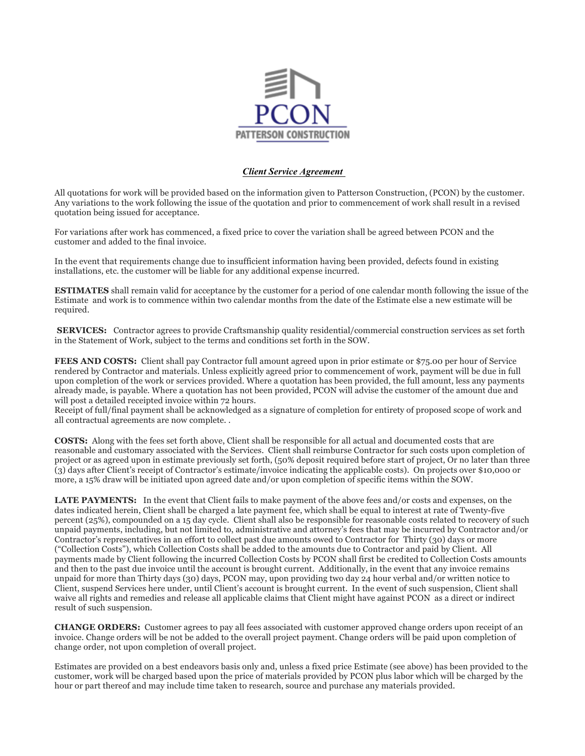

## *Client Service Agreement*

All quotations for work will be provided based on the information given to Patterson Construction, (PCON) by the customer. Any variations to the work following the issue of the quotation and prior to commencement of work shall result in a revised quotation being issued for acceptance.

For variations after work has commenced, a fixed price to cover the variation shall be agreed between PCON and the customer and added to the final invoice.

In the event that requirements change due to insufficient information having been provided, defects found in existing installations, etc. the customer will be liable for any additional expense incurred.

**ESTIMATES** shall remain valid for acceptance by the customer for a period of one calendar month following the issue of the Estimate and work is to commence within two calendar months from the date of the Estimate else a new estimate will be required.

**SERVICES:** Contractor agrees to provide Craftsmanship quality residential/commercial construction services as set forth in the Statement of Work, subject to the terms and conditions set forth in the SOW.

**FEES AND COSTS:** Client shall pay Contractor full amount agreed upon in prior estimate or \$75.00 per hour of Service rendered by Contractor and materials. Unless explicitly agreed prior to commencement of work, payment will be due in full upon completion of the work or services provided. Where a quotation has been provided, the full amount, less any payments already made, is payable. Where a quotation has not been provided, PCON will advise the customer of the amount due and will post a detailed receipted invoice within 72 hours.

Receipt of full/final payment shall be acknowledged as a signature of completion for entirety of proposed scope of work and all contractual agreements are now complete. .

**COSTS:** Along with the fees set forth above, Client shall be responsible for all actual and documented costs that are reasonable and customary associated with the Services. Client shall reimburse Contractor for such costs upon completion of project or as agreed upon in estimate previously set forth, (50% deposit required before start of project, Or no later than three (3) days after Client's receipt of Contractor's estimate/invoice indicating the applicable costs). On projects over \$10,000 or more, a 15% draw will be initiated upon agreed date and/or upon completion of specific items within the SOW.

**LATE PAYMENTS:** In the event that Client fails to make payment of the above fees and/or costs and expenses, on the dates indicated herein, Client shall be charged a late payment fee, which shall be equal to interest at rate of Twenty-five percent (25%), compounded on a 15 day cycle. Client shall also be responsible for reasonable costs related to recovery of such unpaid payments, including, but not limited to, administrative and attorney's fees that may be incurred by Contractor and/or Contractor's representatives in an effort to collect past due amounts owed to Contractor for Thirty (30) days or more ("Collection Costs"), which Collection Costs shall be added to the amounts due to Contractor and paid by Client. All payments made by Client following the incurred Collection Costs by PCON shall first be credited to Collection Costs amounts and then to the past due invoice until the account is brought current. Additionally, in the event that any invoice remains unpaid for more than Thirty days (30) days, PCON may, upon providing two day 24 hour verbal and/or written notice to Client, suspend Services here under, until Client's account is brought current. In the event of such suspension, Client shall waive all rights and remedies and release all applicable claims that Client might have against PCON as a direct or indirect result of such suspension.

**CHANGE ORDERS:** Customer agrees to pay all fees associated with customer approved change orders upon receipt of an invoice. Change orders will be not be added to the overall project payment. Change orders will be paid upon completion of change order, not upon completion of overall project.

Estimates are provided on a best endeavors basis only and, unless a fixed price Estimate (see above) has been provided to the customer, work will be charged based upon the price of materials provided by PCON plus labor which will be charged by the hour or part thereof and may include time taken to research, source and purchase any materials provided.